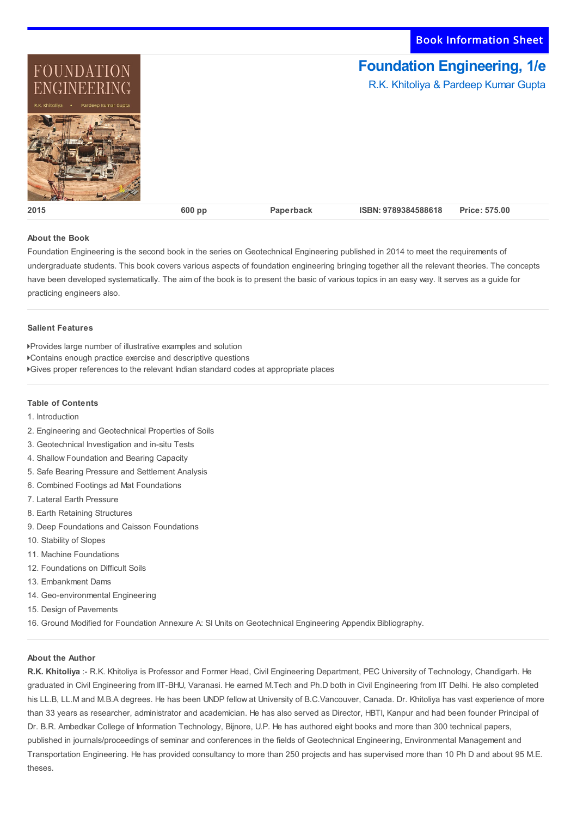Book Information Sheet



## **About the Book**

Foundation Engineering is the second book in the series on Geotechnical Engineering published in 2014 to meet the requirements of undergraduate students. This book covers various aspects of foundation engineering bringing together all the relevant theories. The concepts have been developed systematically. The aim of the book is to present the basic of various topics in an easy way. It serves as a guide for practicing engineers also.

## **Salient Features**

Provides large number of illustrative examples and solution

- Contains enough practice exercise and descriptive questions
- Gives proper references to the relevant Indian standard codes at appropriate places

## **Table of Contents**

- 1. Introduction
- 2. Engineering and Geotechnical Properties of Soils
- 3. Geotechnical Investigation and in-situ Tests
- 4. Shallow Foundation and Bearing Capacity
- 5. Safe Bearing Pressure and Settlement Analysis
- 6. Combined Footings ad Mat Foundations
- 7. Lateral Earth Pressure
- 8. Earth Retaining Structures
- 9. Deep Foundations and Caisson Foundations
- 10. Stability of Slopes
- 11. Machine Foundations
- 12. Foundations on Difficult Soils
- 13. Embankment Dams
- 14. Geo-environmental Engineering
- 15. Design of Pavements
- 16. Ground Modified for Foundation Annexure A: SI Units on Geotechnical Engineering Appendix Bibliography.

## **About the Author**

**R.K. Khitoliya** :- R.K. Khitoliya is Professor and Former Head, Civil Engineering Department, PEC University of Technology, Chandigarh. He graduated in Civil Engineering from IIT-BHU, Varanasi. He earned M.Tech and Ph.D both in Civil Engineering from IIT Delhi. He also completed his LL.B, LL.M and M.B.A degrees. He has been UNDP fellow at University of B.C.Vancouver, Canada. Dr. Khitoliya has vast experience of more than 33 years as researcher, administrator and academician. He has also served as Director, HBTI, Kanpur and had been founder Principal of Dr. B.R. Ambedkar College of Information Technology, Bijnore, U.P. He has authored eight books and more than 300 technical papers, published in journals/proceedings of seminar and conferences in the fields of Geotechnical Engineering, Environmental Management and Transportation Engineering. He has provided consultancy to more than 250 projects and has supervised more than 10 Ph D and about 95 M.E. theses.